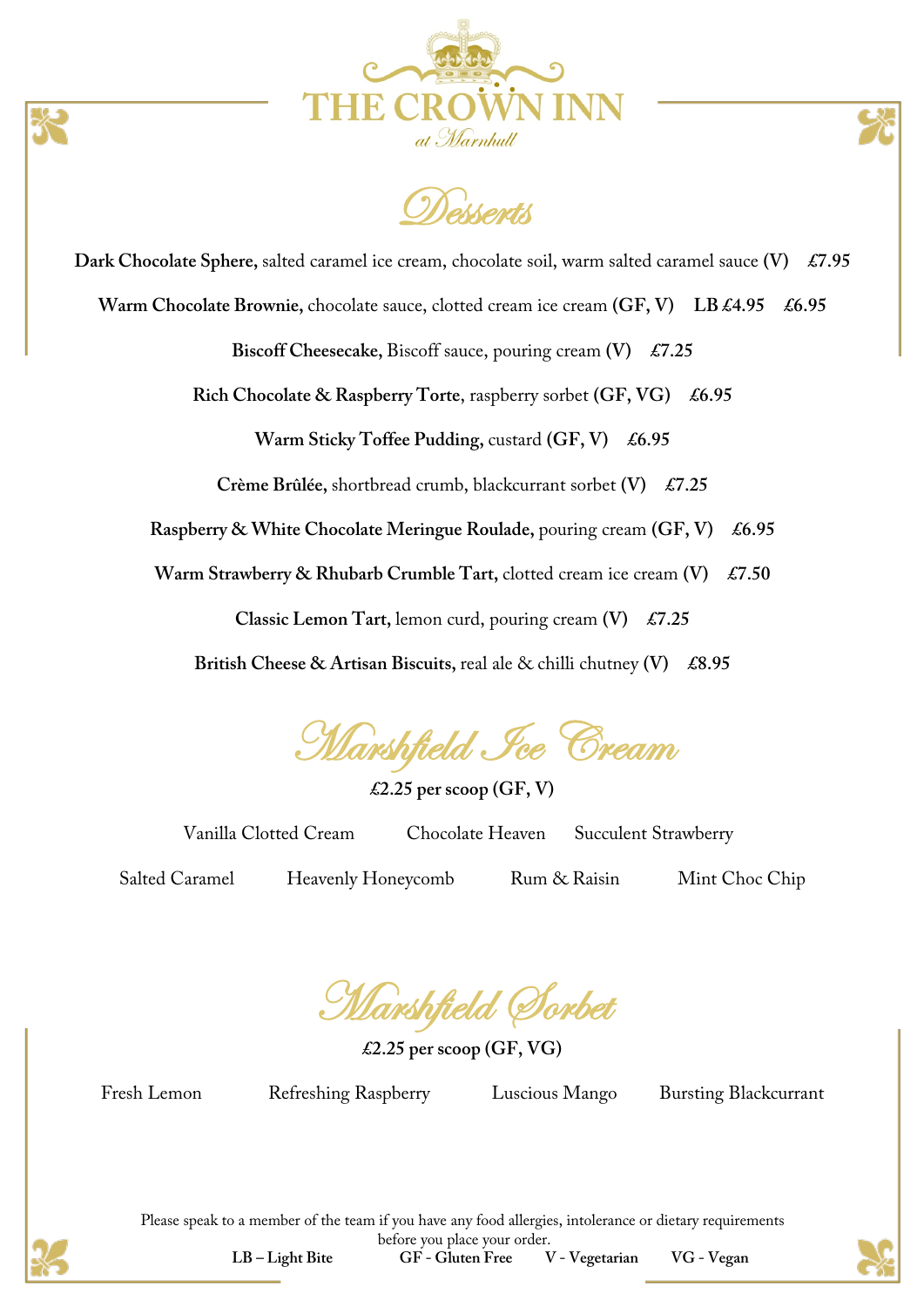

**Desserts** 

**Dark Chocolate Sphere,** salted caramel ice cream, chocolate soil, warm salted caramel sauce **(V) £7.95**

Warm Chocolate Brownie, chocolate sauce, clotted cream ice cream  $(GF, V)$  LB £4.95 £6.95

**Biscoff Cheesecake,** Biscoff sauce, pouring cream **(V) £7.25**

**Rich Chocolate & Raspberry Torte**, raspberry sorbet **(GF, VG) £6.95**

**Warm Sticky Toffee Pudding, custard (GF, V)** £6.95

**Crème Brûlée,** shortbread crumb, blackcurrant sorbet **(V) £7.25**

**Raspberry & White Chocolate Meringue Roulade,** pouring cream **(GF, V) £6.95**

**Warm Strawberry & Rhubarb Crumble Tart, clotted cream ice cream <b>(V)** £7.50

**Classic Lemon Tart,** lemon curd, pouring cream **(V) £7.25**

**British Cheese & Artisan Biscuits,** real ale & chilli chutney **(V) £8.95**

**Marshfield Fce Cream** 

**£2.25 per scoop (GF, V)**

Vanilla Clotted Cream Chocolate Heaven Succulent Strawberry

Salted Caramel Heavenly Honeycomb Rum & Raisin Mint Choc Chip

Marshfield Sorbet

**£2.25 per scoop (GF, VG)**

Fresh Lemon Refreshing Raspberry Luscious Mango Bursting Blackcurrant



Please speak to a member of the team if you have any food allergies, intolerance or dietary requirements before you place your order. **LB – Light Bite GF - Gluten Free V - Vegetarian VG - Vegan**